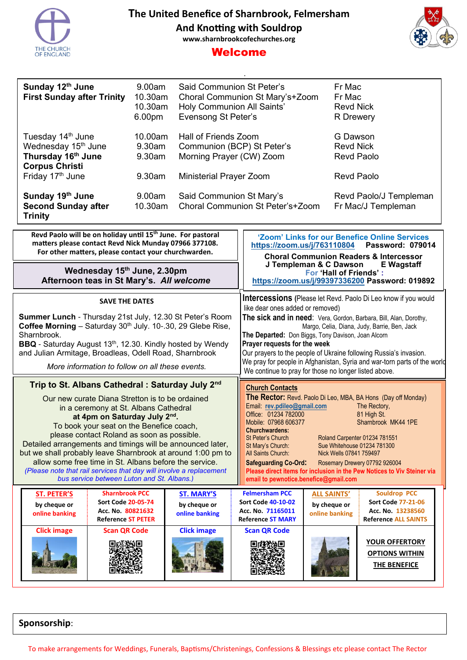



# Welcome

| Sunday 12th June<br><b>First Sunday after Trinity</b>                                                           | 9.00am<br>10.30am<br>10.30am<br>6.00 <sub>pm</sub> | Said Communion St Peter's<br>Choral Communion St Mary's+Zoom<br>Holy Communion All Saints'<br>Evensong St Peter's | Fr Mac<br>Fr Mac<br><b>Revd Nick</b><br><b>R</b> Drewery |
|-----------------------------------------------------------------------------------------------------------------|----------------------------------------------------|-------------------------------------------------------------------------------------------------------------------|----------------------------------------------------------|
| Tuesday 14 <sup>th</sup> June<br>Wednesday 15 <sup>th</sup> June<br>Thursday 16th June<br><b>Corpus Christi</b> | 10.00am<br>9.30am<br>9.30am                        | Hall of Friends Zoom<br>Communion (BCP) St Peter's<br>Morning Prayer (CW) Zoom                                    | G Dawson<br><b>Revd Nick</b><br>Revd Paolo               |
| Friday 17 <sup>th</sup> June                                                                                    | 9.30am                                             | <b>Ministerial Prayer Zoom</b>                                                                                    | Revd Paolo                                               |
| Sunday 19th June<br><b>Second Sunday after</b><br><b>Trinity</b>                                                | 9.00am<br>$10.30$ am                               | Said Communion St Mary's<br>Choral Communion St Peter's+Zoom                                                      | Revd Paolo/J Templeman<br>Fr Mac/J Templeman             |

| Revd Paolo will be on holiday until 15 <sup>th</sup> June. For pastoral<br>matters please contact Revd Nick Munday 07966 377108.<br>For other matters, please contact your churchwarden.                                                                                                                                                                                                                                                                                                                                                                                                      |                                                                                                                                                                                                                                                                                                                                   |                                   | 'Zoom' Links for our Benefice Online Services<br>https://zoom.us/j/763110804<br><b>Password: 079014</b><br><b>Choral Communion Readers &amp; Intercessor</b><br>J Templeman & C Dawson<br><b>E</b> Wagstaff<br>For 'Hall of Friends':<br>https://zoom.us/j/99397336200 Password: 019892                                                                                                                                                                                                                                                                                                                     |                                                                       |                                                                |  |
|-----------------------------------------------------------------------------------------------------------------------------------------------------------------------------------------------------------------------------------------------------------------------------------------------------------------------------------------------------------------------------------------------------------------------------------------------------------------------------------------------------------------------------------------------------------------------------------------------|-----------------------------------------------------------------------------------------------------------------------------------------------------------------------------------------------------------------------------------------------------------------------------------------------------------------------------------|-----------------------------------|-------------------------------------------------------------------------------------------------------------------------------------------------------------------------------------------------------------------------------------------------------------------------------------------------------------------------------------------------------------------------------------------------------------------------------------------------------------------------------------------------------------------------------------------------------------------------------------------------------------|-----------------------------------------------------------------------|----------------------------------------------------------------|--|
| Wednesday 15th June, 2.30pm<br>Afternoon teas in St Mary's. All welcome                                                                                                                                                                                                                                                                                                                                                                                                                                                                                                                       |                                                                                                                                                                                                                                                                                                                                   |                                   |                                                                                                                                                                                                                                                                                                                                                                                                                                                                                                                                                                                                             |                                                                       |                                                                |  |
| <b>SAVE THE DATES</b>                                                                                                                                                                                                                                                                                                                                                                                                                                                                                                                                                                         |                                                                                                                                                                                                                                                                                                                                   |                                   |                                                                                                                                                                                                                                                                                                                                                                                                                                                                                                                                                                                                             | <b>Intercessions</b> (Please let Revd. Paolo Di Leo know if you would |                                                                |  |
| Sharnbrook.                                                                                                                                                                                                                                                                                                                                                                                                                                                                                                                                                                                   | Summer Lunch - Thursday 21st July, 12.30 St Peter's Room<br>Coffee Morning - Saturday 30 <sup>th</sup> July. 10-.30, 29 Glebe Rise,<br><b>BBQ</b> - Saturday August 13 <sup>th</sup> , 12.30. Kindly hosted by Wendy<br>and Julian Armitage, Broadleas, Odell Road, Sharnbrook<br>More information to follow on all these events. |                                   | like dear ones added or removed)<br>The sick and in need: Vera, Gordon, Barbara, Bill, Alan, Dorothy,<br>Margo, Celia, Diana, Judy, Barrie, Ben, Jack<br>The Departed: Don Biggs, Tony Davison, Joan Alcorn<br>Prayer requests for the week<br>Our prayers to the people of Ukraine following Russia's invasion.<br>We pray for people in Afghanistan, Syria and war-torn parts of the world<br>We continue to pray for those no longer listed above.                                                                                                                                                       |                                                                       |                                                                |  |
| Trip to St. Albans Cathedral: Saturday July 2 <sup>nd</sup><br>Our new curate Diana Stretton is to be ordained<br>in a ceremony at St. Albans Cathedral<br>at 4pm on Saturday July 2nd.<br>To book your seat on the Benefice coach,<br>please contact Roland as soon as possible.<br>Detailed arrangements and timings will be announced later,<br>but we shall probably leave Sharnbrook at around 1:00 pm to<br>allow some free time in St. Albans before the service.<br>(Please note that rail services that day will involve a replacement<br>bus service between Luton and St. Albans.) |                                                                                                                                                                                                                                                                                                                                   |                                   | <b>Church Contacts</b><br>The Rector: Revd. Paolo Di Leo, MBA, BA Hons (Day off Monday)<br>Email: rev.pdileo@gmail.com<br>The Rectory,<br>Office: 01234 782000<br>81 High St.<br>Mobile: 07968 606377<br>Sharnbrook MK44 1PE<br><b>Churchwardens:</b><br><b>St Peter's Church</b><br>Roland Carpenter 01234 781551<br>Sue Whitehouse 01234 781300<br>St Mary's Church:<br>All Saints Church:<br>Nick Wells 07841 759497<br><b>Safeguarding Co-Ord:</b><br>Rosemary Drewery 07792 926004<br>Please direct items for inclusion in the Pew Notices to Viv Steiner via<br>email to pewnotice.benefice@gmail.com |                                                                       |                                                                |  |
| <b>ST. PETER'S</b><br>by cheque or                                                                                                                                                                                                                                                                                                                                                                                                                                                                                                                                                            | <b>Sharnbrook PCC</b><br><b>Sort Code 20-05-74</b>                                                                                                                                                                                                                                                                                | <b>ST. MARY'S</b><br>by cheque or | <b>Felmersham PCC</b><br><b>Sort Code 40-10-02</b>                                                                                                                                                                                                                                                                                                                                                                                                                                                                                                                                                          | <b>ALL SAINTS'</b><br>by cheque or                                    | <b>Souldrop PCC</b><br><b>Sort Code 77-21-06</b>               |  |
| online banking                                                                                                                                                                                                                                                                                                                                                                                                                                                                                                                                                                                | Acc. No. 80821632<br><b>Reference ST PETER</b>                                                                                                                                                                                                                                                                                    | online banking                    | Acc. No. 71165011<br><b>Reference ST MARY</b>                                                                                                                                                                                                                                                                                                                                                                                                                                                                                                                                                               | online banking                                                        | Acc. No. 13238560<br><b>Reference ALL SAINTS</b>               |  |
| <b>Click image</b>                                                                                                                                                                                                                                                                                                                                                                                                                                                                                                                                                                            | <b>Scan QR Code</b>                                                                                                                                                                                                                                                                                                               | <b>Click image</b>                | <b>Scan QR Code</b>                                                                                                                                                                                                                                                                                                                                                                                                                                                                                                                                                                                         |                                                                       | <b>YOUR OFFERTORY</b><br><b>OPTIONS WITHIN</b><br>THE BENEFICE |  |

**Sponsorship**:

To make arrangements for Weddings, Funerals, Baptisms/Christenings, Confessions & Blessings etc please contact The Rector